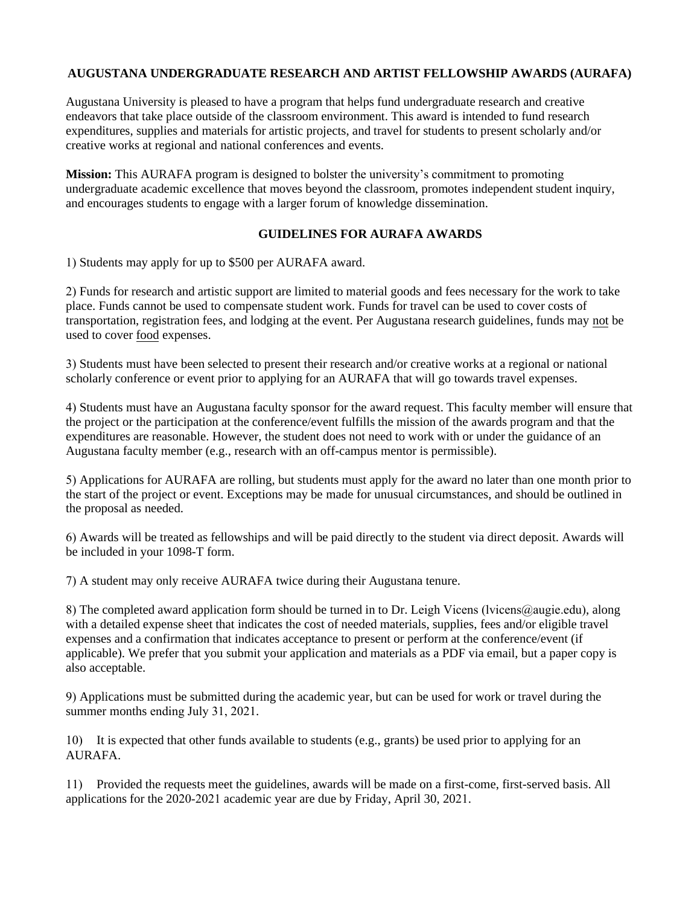## **AUGUSTANA UNDERGRADUATE RESEARCH AND ARTIST FELLOWSHIP AWARDS (AURAFA)**

Augustana University is pleased to have a program that helps fund undergraduate research and creative endeavors that take place outside of the classroom environment. This award is intended to fund research expenditures, supplies and materials for artistic projects, and travel for students to present scholarly and/or creative works at regional and national conferences and events.

**Mission:** This AURAFA program is designed to bolster the university's commitment to promoting undergraduate academic excellence that moves beyond the classroom, promotes independent student inquiry, and encourages students to engage with a larger forum of knowledge dissemination.

## **GUIDELINES FOR AURAFA AWARDS**

1) Students may apply for up to \$500 per AURAFA award.

2) Funds for research and artistic support are limited to material goods and fees necessary for the work to take place. Funds cannot be used to compensate student work. Funds for travel can be used to cover costs of transportation, registration fees, and lodging at the event. Per Augustana research guidelines, funds may not be used to cover food expenses.

3) Students must have been selected to present their research and/or creative works at a regional or national scholarly conference or event prior to applying for an AURAFA that will go towards travel expenses.

4) Students must have an Augustana faculty sponsor for the award request. This faculty member will ensure that the project or the participation at the conference/event fulfills the mission of the awards program and that the expenditures are reasonable. However, the student does not need to work with or under the guidance of an Augustana faculty member (e.g., research with an off-campus mentor is permissible).

5) Applications for AURAFA are rolling, but students must apply for the award no later than one month prior to the start of the project or event. Exceptions may be made for unusual circumstances, and should be outlined in the proposal as needed.

6) Awards will be treated as fellowships and will be paid directly to the student via direct deposit. Awards will be included in your 1098-T form.

7) A student may only receive AURAFA twice during their Augustana tenure.

8) The completed award application form should be turned in to Dr. Leigh Vicens (l[vicens@augie.edu\)](mailto:shields@augie.edu), along with a detailed expense sheet that indicates the cost of needed materials, supplies, fees and/or eligible travel expenses and a confirmation that indicates acceptance to present or perform at the conference/event (if applicable). We prefer that you submit your application and materials as a PDF via email, but a paper copy is also acceptable.

9) Applications must be submitted during the academic year, but can be used for work or travel during the summer months ending July 31, 2021.

10) It is expected that other funds available to students (e.g., grants) be used prior to applying for an AURAFA.

11) Provided the requests meet the guidelines, awards will be made on a first-come, first-served basis. All applications for the 2020-2021 academic year are due by Friday, April 30, 2021.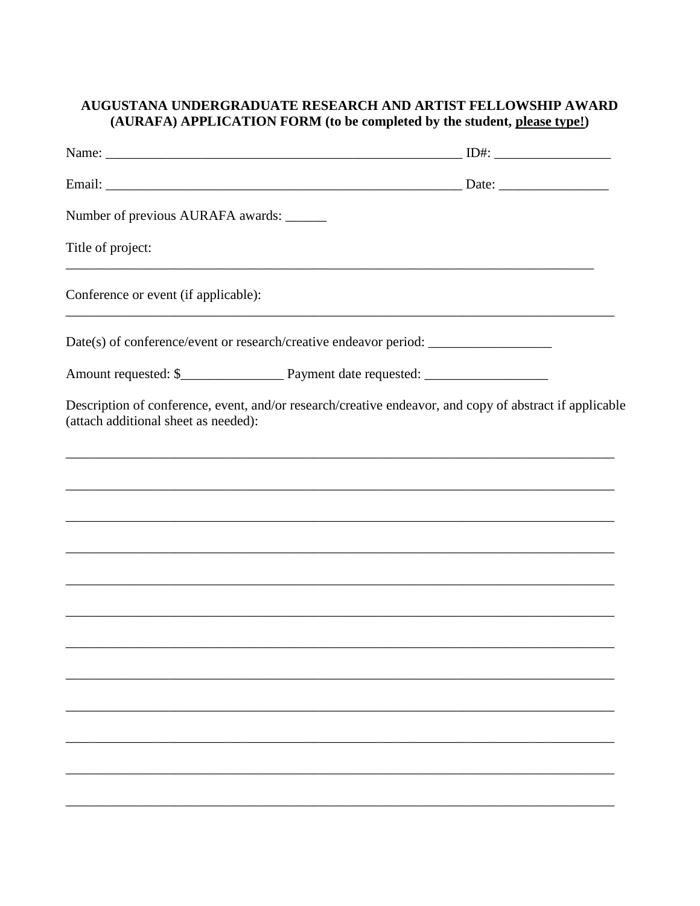## AUGUSTANA UNDERGRADUATE RESEARCH AND ARTIST FELLOWSHIP AWARD (AURAFA) APPLICATION FORM (to be completed by the student, please type!)

| Number of previous AURAFA awards: ______ |                                                                                                         |
|------------------------------------------|---------------------------------------------------------------------------------------------------------|
| Title of project:                        |                                                                                                         |
| Conference or event (if applicable):     |                                                                                                         |
|                                          |                                                                                                         |
|                                          |                                                                                                         |
| (attach additional sheet as needed):     | Description of conference, event, and/or research/creative endeavor, and copy of abstract if applicable |
|                                          |                                                                                                         |
|                                          | ,我们也不能在这里的时候,我们也不能在这里的时候,我们也不能在这里的时候,我们也不能会在这里的时候,我们也不能会在这里的时候,我们也不能会在这里的时候,我们也不能                       |
|                                          |                                                                                                         |
|                                          |                                                                                                         |
|                                          |                                                                                                         |
|                                          |                                                                                                         |
|                                          |                                                                                                         |
|                                          |                                                                                                         |
|                                          |                                                                                                         |
|                                          |                                                                                                         |
|                                          |                                                                                                         |